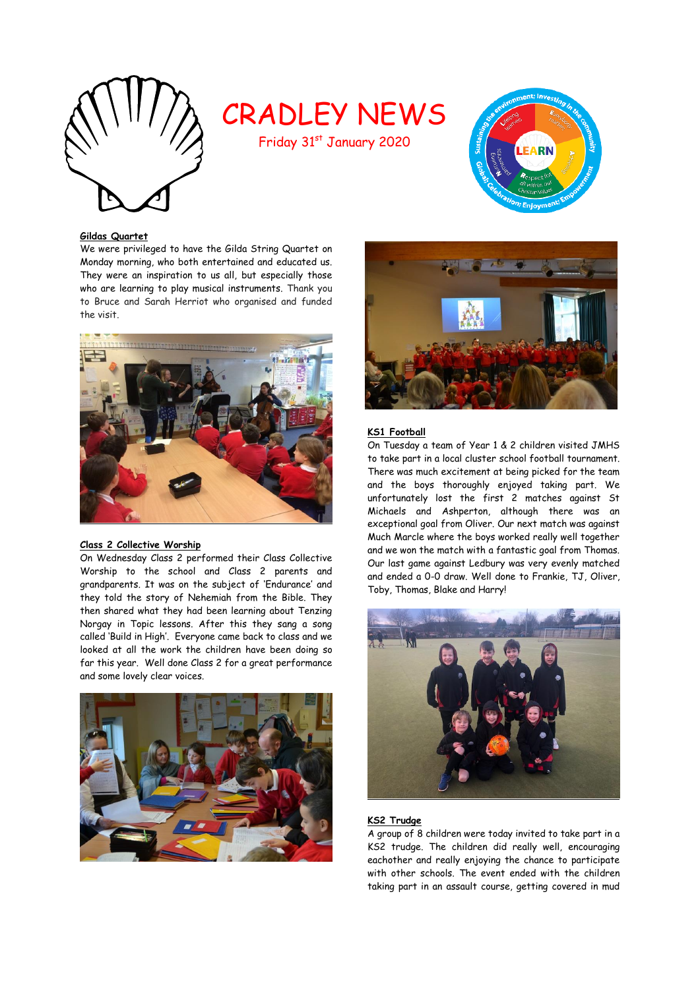

# CRADLEY NEWS

Friday 31st January 2020



### **Gildas Quartet**

We were privileged to have the Gilda String Quartet on Monday morning, who both entertained and educated us. They were an inspiration to us all, but especially those who are learning to play musical instruments. Thank you to Bruce and Sarah Herriot who organised and funded the visit.



# **Class 2 Collective Worship**

On Wednesday Class 2 performed their Class Collective Worship to the school and Class 2 parents and grandparents. It was on the subject of 'Endurance' and they told the story of Nehemiah from the Bible. They then shared what they had been learning about Tenzing Norgay in Topic lessons. After this they sang a song called 'Build in High'. Everyone came back to class and we looked at all the work the children have been doing so far this year. Well done Class 2 for a great performance and some lovely clear voices.





# **KS1 Football**

On Tuesday a team of Year 1 & 2 children visited JMHS to take part in a local cluster school football tournament. There was much excitement at being picked for the team and the boys thoroughly enjoyed taking part. We unfortunately lost the first 2 matches against St Michaels and Ashperton, although there was an exceptional goal from Oliver. Our next match was against Much Marcle where the boys worked really well together and we won the match with a fantastic goal from Thomas. Our last game against Ledbury was very evenly matched and ended a 0-0 draw. Well done to Frankie, TJ, Oliver, Toby, Thomas, Blake and Harry!



# **KS2 Trudge**

A group of 8 children were today invited to take part in a KS2 trudge. The children did really well, encouraging eachother and really enjoying the chance to participate with other schools. The event ended with the children taking part in an assault course, getting covered in mud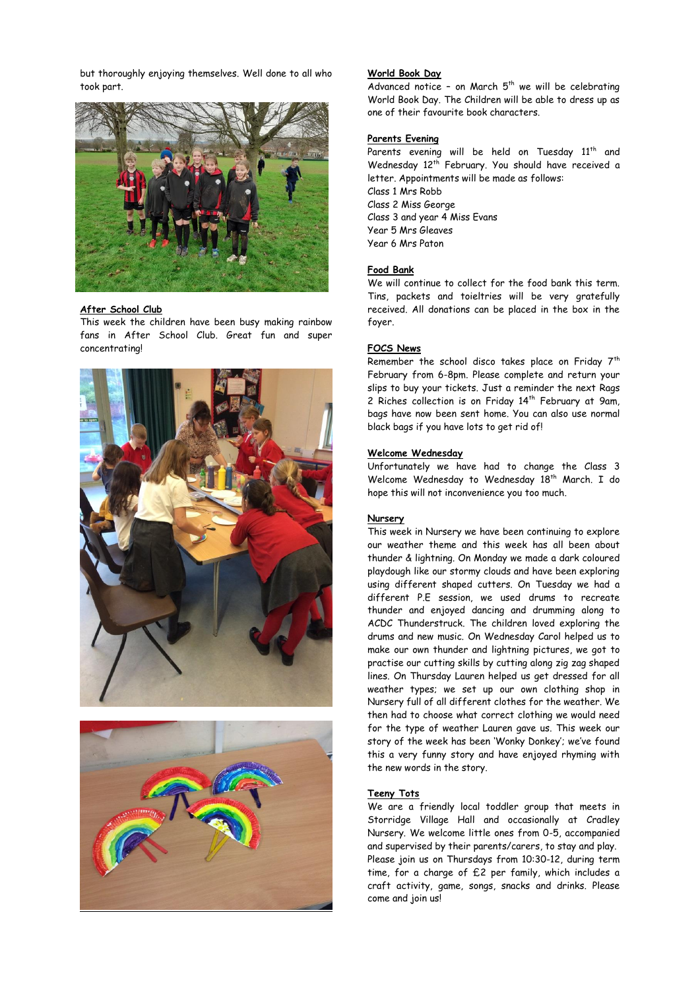but thoroughly enjoying themselves. Well done to all who took part.



### **After School Club**

This week the children have been busy making rainbow fans in After School Club. Great fun and super concentrating!





### **World Book Day**

Advanced notice - on March  $5<sup>th</sup>$  we will be celebrating World Book Day. The Children will be able to dress up as one of their favourite book characters.

### **Parents Evening**

Parents evening will be held on Tuesday 11<sup>th</sup> and Wednesday 12<sup>th</sup> February. You should have received a letter. Appointments will be made as follows: Class 1 Mrs Robb Class 2 Miss George Class 3 and year 4 Miss Evans Year 5 Mrs Gleaves Year 6 Mrs Paton

### **Food Bank**

We will continue to collect for the food bank this term. Tins, packets and toieltries will be very gratefully received. All donations can be placed in the box in the foyer.

### **FOCS News**

Remember the school disco takes place on Friday  $7<sup>th</sup>$ February from 6-8pm. Please complete and return your slips to buy your tickets. Just a reminder the next Rags 2 Riches collection is on Friday 14<sup>th</sup> February at 9am, bags have now been sent home. You can also use normal black bags if you have lots to get rid of!

### **Welcome Wednesday**

Unfortunately we have had to change the Class 3 Welcome Wednesday to Wednesday 18<sup>th</sup> March. I do hope this will not inconvenience you too much.

### **Nursery**

This week in Nursery we have been continuing to explore our weather theme and this week has all been about thunder & lightning. On Monday we made a dark coloured playdough like our stormy clouds and have been exploring using different shaped cutters. On Tuesday we had a different P.E session, we used drums to recreate thunder and enjoyed dancing and drumming along to ACDC Thunderstruck. The children loved exploring the drums and new music. On Wednesday Carol helped us to make our own thunder and lightning pictures, we got to practise our cutting skills by cutting along zig zag shaped lines. On Thursday Lauren helped us get dressed for all weather types; we set up our own clothing shop in Nursery full of all different clothes for the weather. We then had to choose what correct clothing we would need for the type of weather Lauren gave us. This week our story of the week has been 'Wonky Donkey'; we've found this a very funny story and have enjoyed rhyming with the new words in the story.

### **Teeny Tots**

We are a friendly local toddler group that meets in Storridge Village Hall and occasionally at Cradley Nursery. We welcome little ones from 0-5, accompanied and supervised by their parents/carers, to stay and play. Please join us on Thursdays from 10:30-12, during term time, for a charge of £2 per family, which includes a craft activity, game, songs, snacks and drinks. Please come and join us!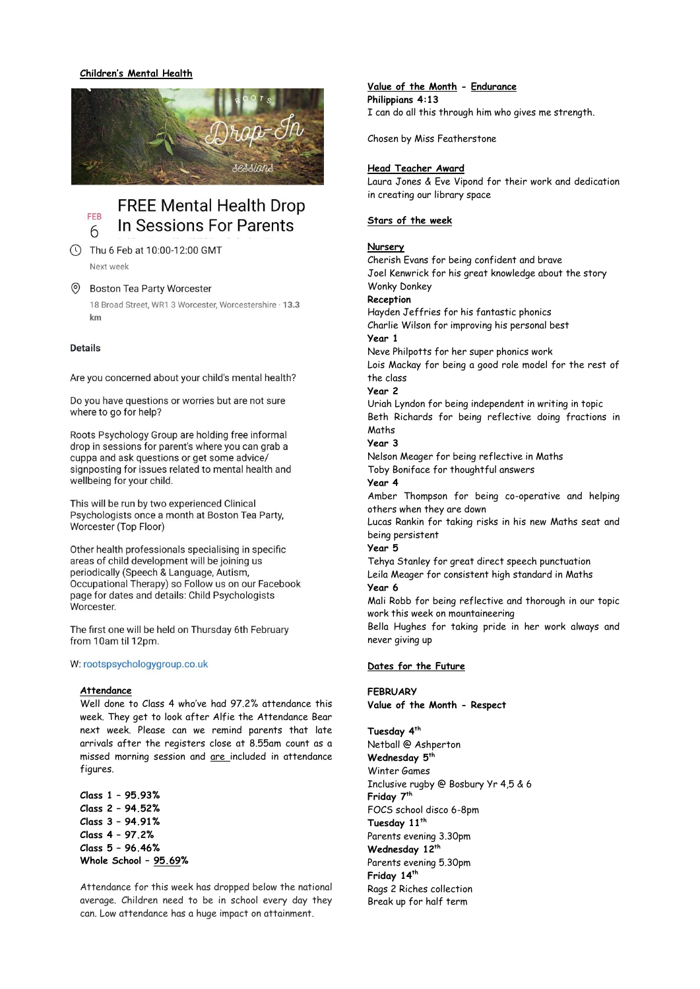### **Children's Mental Health**



### **FREE Mental Health Drop** FEB In Sessions For Parents 6

10:00-12:00 GMT Next week

#### $\circledcirc$ **Boston Tea Party Worcester**

18 Broad Street, WR1 3 Worcester, Worcestershire · 13.3  $km$ 

### **Details**

Are you concerned about your child's mental health?

Do you have questions or worries but are not sure where to go for help?

Roots Psychology Group are holding free informal drop in sessions for parent's where you can grab a cuppa and ask questions or get some advice/ signposting for issues related to mental health and wellbeing for your child.

This will be run by two experienced Clinical Psychologists once a month at Boston Tea Party, Worcester (Top Floor)

Other health professionals specialising in specific areas of child development will be joining us periodically (Speech & Language, Autism, Occupational Therapy) so Follow us on our Facebook page for dates and details: Child Psychologists Worcester.

The first one will be held on Thursday 6th February from 10am til 12pm.

### W: rootspsychologygroup.co.uk

### **Attendance**

Well done to Class 4 who've had 97.2% attendance this week. They get to look after Alfie the Attendance Bear next week. Please can we remind parents that late arrivals after the registers close at 8.55am count as a missed morning session and are included in attendance figures.

**Class 1 – 95.93% Class 2 – 94.52% Class 3 – 94.91% Class 4 – 97.2% Class 5 – 96.46% Whole School – 95.69%**

Attendance for this week has dropped below the national average. Children need to be in school every day they can. Low attendance has a huge impact on attainment.

# **Value of the Month - Endurance**

**Philippians 4:13** I can do all this through him who gives me strength.

Chosen by Miss Featherstone

### **Head Teacher Award**

Laura Jones & Eve Vipond for their work and dedication in creating our library space

### **Stars of the week**

### **Nursery**

Cherish Evans for being confident and brave Joel Kenwrick for his great knowledge about the story Wonky Donkey **Reception** Hayden Jeffries for his fantastic phonics Charlie Wilson for improving his personal best **Year 1**  Neve Philpotts for her super phonics work Lois Mackay for being a good role model for the rest of the class **Year 2**  Uriah Lyndon for being independent in writing in topic Beth Richards for being reflective doing fractions in Maths **Year 3**  Nelson Meager for being reflective in Maths Toby Boniface for thoughtful answers **Year 4** Amber Thompson for being co-operative and helping others when they are down Lucas Rankin for taking risks in his new Maths seat and being persistent **Year 5** Tehya Stanley for great direct speech punctuation Leila Meager for consistent high standard in Maths **Year 6** Mali Robb for being reflective and thorough in our topic work this week on mountaineering

Bella Hughes for taking pride in her work always and never giving up

### **Dates for the Future**

### **FEBRUARY**

**Value of the Month - Respect**

**Tuesday 4th** Netball @ Ashperton **Wednesday 5th** Winter Games Inclusive rugby @ Bosbury Yr 4,5 & 6 **Friday 7th** FOCS school disco 6-8pm **Tuesday 11th** Parents evening 3.30pm **Wednesday 12th** Parents evening 5.30pm **Friday 14th** Rags 2 Riches collection Break up for half term